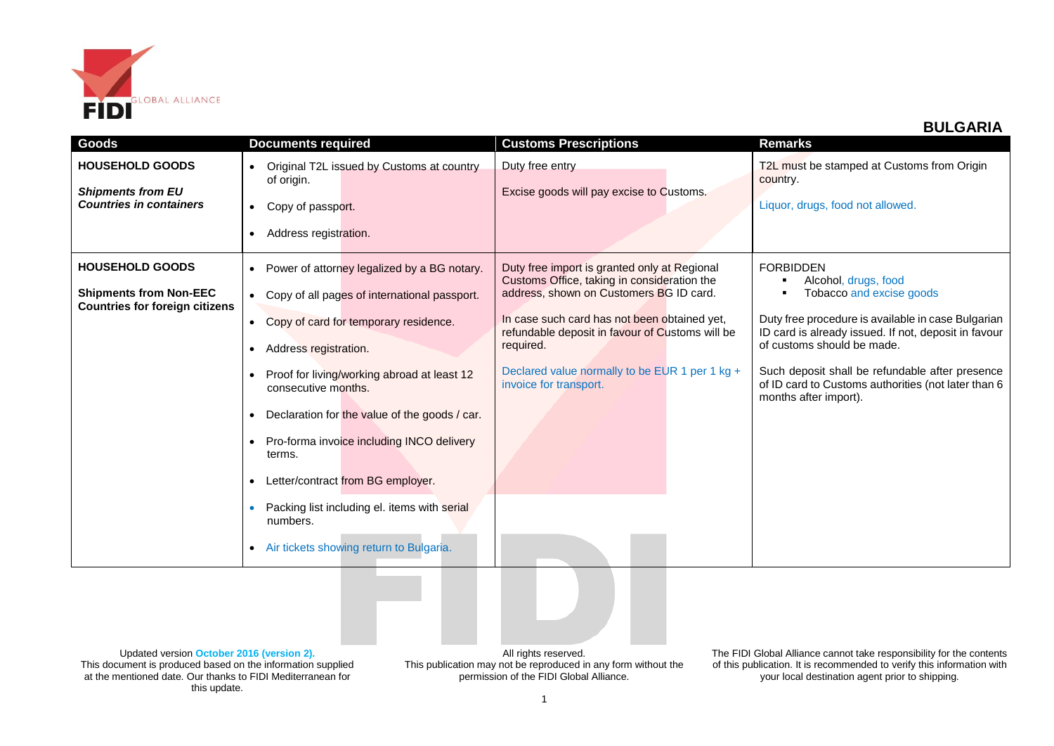

## **BULGARIA**

| Goods                                                                                | <b>Documents required</b>                                                                                                                                                                                                                                                                                                                                                                                                                                                                    | <b>Customs Prescriptions</b>                                                                                                                                                                                                        | <b>Remarks</b>                                                                                                                                                                                                                                                                                          |
|--------------------------------------------------------------------------------------|----------------------------------------------------------------------------------------------------------------------------------------------------------------------------------------------------------------------------------------------------------------------------------------------------------------------------------------------------------------------------------------------------------------------------------------------------------------------------------------------|-------------------------------------------------------------------------------------------------------------------------------------------------------------------------------------------------------------------------------------|---------------------------------------------------------------------------------------------------------------------------------------------------------------------------------------------------------------------------------------------------------------------------------------------------------|
| <b>HOUSEHOLD GOODS</b><br><b>Shipments from EU</b><br><b>Countries in containers</b> | Original T2L issued by Customs at country<br>$\bullet$<br>of origin.<br>Copy of passport.<br>$\bullet$<br>Address registration.<br>$\bullet$                                                                                                                                                                                                                                                                                                                                                 | Duty free entry<br>Excise goods will pay excise to Customs.                                                                                                                                                                         | T2L must be stamped at Customs from Origin<br>country.<br>Liquor, drugs, food not allowed.                                                                                                                                                                                                              |
| <b>HOUSEHOLD GOODS</b>                                                               | Power of attorney legalized by a BG notary.<br>$\bullet$                                                                                                                                                                                                                                                                                                                                                                                                                                     | Duty free import is granted only at Regional<br>Customs Office, taking in consideration the                                                                                                                                         | <b>FORBIDDEN</b><br>Alcohol, drugs, food                                                                                                                                                                                                                                                                |
| <b>Shipments from Non-EEC</b><br><b>Countries for foreign citizens</b>               | Copy of all pages of international passport.<br>$\bullet$<br>Copy of card for temporary residence.<br>$\bullet$<br>Address registration.<br>$\bullet$<br>Proof for living/working abroad at least 12<br>consecutive months.<br>Declaration for the value of the goods / car.<br>Pro-forma invoice including INCO delivery<br>terms.<br>Letter/contract from BG employer.<br>Packing list including el. items with serial<br>numbers.<br>Air tickets showing return to Bulgaria.<br>$\bullet$ | address, shown on Customers BG ID card.<br>In case such card has not been obtained yet,<br>refundable deposit in favour of Customs will be<br>required.<br>Declared value normally to be EUR 1 per 1 kg +<br>invoice for transport. | Tobacco and excise goods<br>Duty free procedure is available in case Bulgarian<br>ID card is already issued. If not, deposit in favour<br>of customs should be made.<br>Such deposit shall be refundable after presence<br>of ID card to Customs authorities (not later than 6<br>months after import). |

Updated version **October 2016 (version 2).** This document is produced based on the information supplied at the mentioned date. Our thanks to FIDI Mediterranean for this update.

All rights reserved. This publication may not be reproduced in any form without the permission of the FIDI Global Alliance.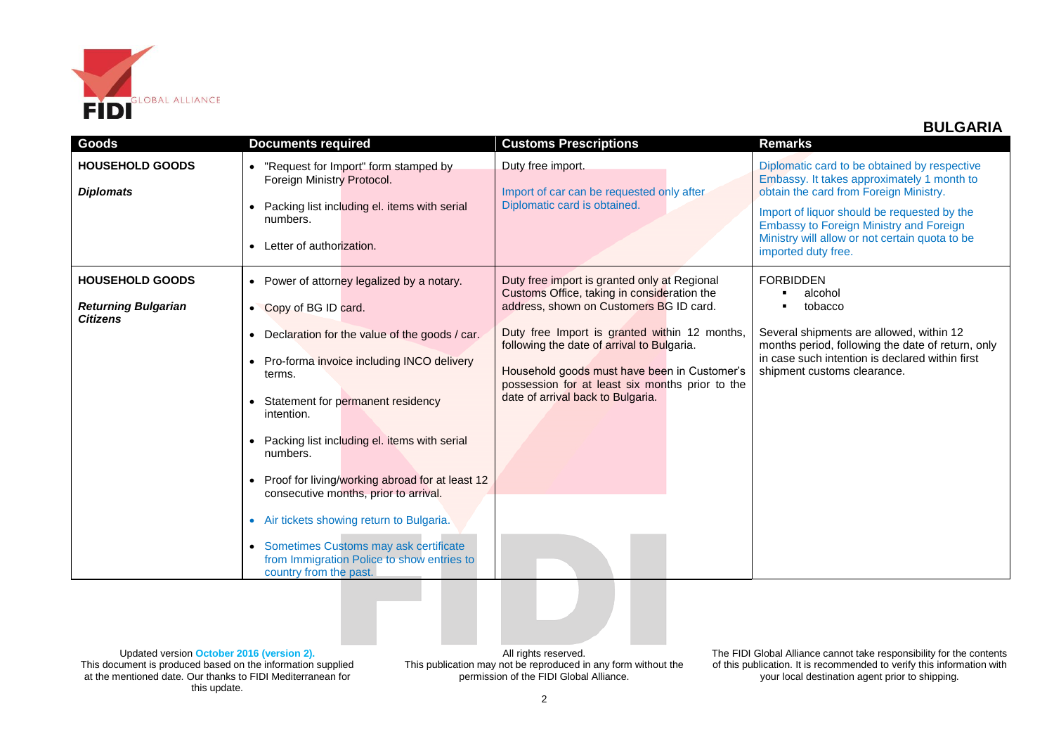

## **BULGARIA**

| Goods                                                                   | <b>Documents required</b>                                                                                                                                                                                                                                                                                                                                                                                                                                                                                                                                                                            | <b>Customs Prescriptions</b>                                                                                                                                                                                                                                                                                                                                                  | <b>Remarks</b>                                                                                                                                                                                                                                                                                                 |
|-------------------------------------------------------------------------|------------------------------------------------------------------------------------------------------------------------------------------------------------------------------------------------------------------------------------------------------------------------------------------------------------------------------------------------------------------------------------------------------------------------------------------------------------------------------------------------------------------------------------------------------------------------------------------------------|-------------------------------------------------------------------------------------------------------------------------------------------------------------------------------------------------------------------------------------------------------------------------------------------------------------------------------------------------------------------------------|----------------------------------------------------------------------------------------------------------------------------------------------------------------------------------------------------------------------------------------------------------------------------------------------------------------|
| <b>HOUSEHOLD GOODS</b><br><b>Diplomats</b>                              | "Request for Import" form stamped by<br>$\bullet$<br>Foreign Ministry Protocol.<br>Packing list including el. items with serial<br>numbers.<br>Letter of authorization.                                                                                                                                                                                                                                                                                                                                                                                                                              | Duty free import.<br>Import of car can be requested only after<br>Diplomatic card is obtained.                                                                                                                                                                                                                                                                                | Diplomatic card to be obtained by respective<br>Embassy. It takes approximately 1 month to<br>obtain the card from Foreign Ministry.<br>Import of liquor should be requested by the<br><b>Embassy to Foreign Ministry and Foreign</b><br>Ministry will allow or not certain quota to be<br>imported duty free. |
| <b>HOUSEHOLD GOODS</b><br><b>Returning Bulgarian</b><br><b>Citizens</b> | Power of attorney legalized by a notary.<br>$\bullet$<br>• Copy of BG ID card.<br>Declaration for the value of the goods / car.<br>$\bullet$<br>Pro-forma invoice including INCO delivery<br>terms.<br>Statement for permanent residency<br>intention.<br>Packing list including el. items with serial<br>numbers.<br>Proof for living/working abroad for at least 12<br>consecutive months, prior to arrival.<br>Air tickets showing return to Bulgaria.<br>$\bullet$<br>Sometimes Customs may ask certificate<br>$\bullet$<br>from Immigration Police to show entries to<br>country from the past. | Duty free import is granted only at Regional<br>Customs Office, taking in consideration the<br>address, shown on Customers BG ID card.<br>Duty free Import is granted within 12 months,<br>following the date of arrival to Bulgaria.<br>Household goods must have been in Customer's<br>possession for at least six months prior to the<br>date of arrival back to Bulgaria. | <b>FORBIDDEN</b><br>alcohol<br>tobacco<br>Several shipments are allowed, within 12<br>months period, following the date of return, only<br>in case such intention is declared within first<br>shipment customs clearance.                                                                                      |

Updated version **October 2016 (version 2).** This document is produced based on the information supplied at the mentioned date. Our thanks to FIDI Mediterranean for this update.

All rights reserved. This publication may not be reproduced in any form without the permission of the FIDI Global Alliance.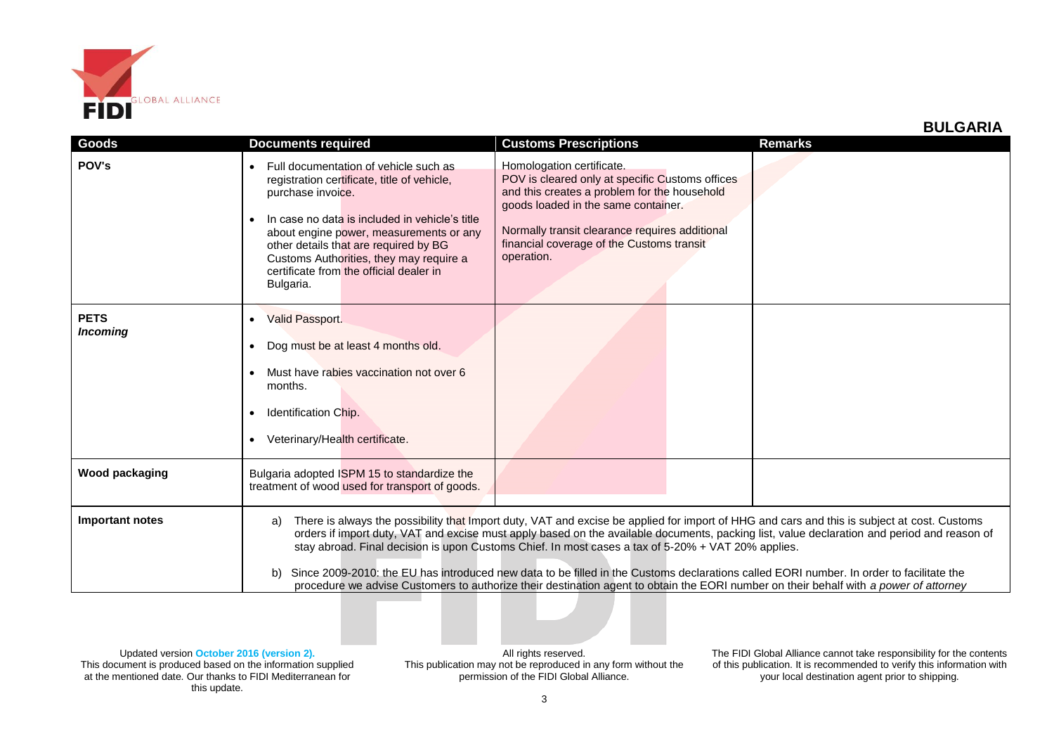

## **BULGARIA**

| Goods                          | <b>Documents required</b>                                                                                                                                                                                                                                                                                                                                                                                                                                                                                                                                                                                                                                                                        | <b>Customs Prescriptions</b>                                                                                                                                                                                                                                                     | <b>Remarks</b> |
|--------------------------------|--------------------------------------------------------------------------------------------------------------------------------------------------------------------------------------------------------------------------------------------------------------------------------------------------------------------------------------------------------------------------------------------------------------------------------------------------------------------------------------------------------------------------------------------------------------------------------------------------------------------------------------------------------------------------------------------------|----------------------------------------------------------------------------------------------------------------------------------------------------------------------------------------------------------------------------------------------------------------------------------|----------------|
| POV's                          | Full documentation of vehicle such as<br>registration certificate, title of vehicle,<br>purchase invoice.<br>In case no data is included in vehicle's title<br>about engine power, measurements or any<br>other details that are required by BG<br>Customs Authorities, they may require a<br>certificate from the official dealer in<br>Bulgaria.                                                                                                                                                                                                                                                                                                                                               | Homologation certificate.<br>POV is cleared only at specific Customs offices<br>and this creates a problem for the household<br>goods loaded in the same container.<br>Normally transit clearance requires additional<br>financial coverage of the Customs transit<br>operation. |                |
| <b>PETS</b><br><b>Incoming</b> | <b>Valid Passport.</b><br>$\bullet$<br>Dog must be at least 4 months old.<br>$\bullet$<br>Must have rabies vaccination not over 6<br>months.<br>Identification Chip.<br>$\bullet$<br>Veterinary/Health certificate.                                                                                                                                                                                                                                                                                                                                                                                                                                                                              |                                                                                                                                                                                                                                                                                  |                |
| <b>Wood packaging</b>          | Bulgaria adopted ISPM 15 to standardize the<br>treatment of wood used for transport of goods.                                                                                                                                                                                                                                                                                                                                                                                                                                                                                                                                                                                                    |                                                                                                                                                                                                                                                                                  |                |
| Important notes                | There is always the possibility that Import duty, VAT and excise be applied for import of HHG and cars and this is subject at cost. Customs<br>a)<br>orders if import duty, VAT and excise must apply based on the available documents, packing list, value declaration and period and reason of<br>stay abroad. Final decision is upon Customs Chief. In most cases a tax of 5-20% + VAT 20% applies.<br>Since 2009-2010: the EU has introduced new data to be filled in the Customs declarations called EORI number. In order to facilitate the<br>b)<br>procedure we advise Customers to authorize their destination agent to obtain the EORI number on their behalf with a power of attorney |                                                                                                                                                                                                                                                                                  |                |

All rights reserved. This publication may not be reproduced in any form without the permission of the FIDI Global Alliance.